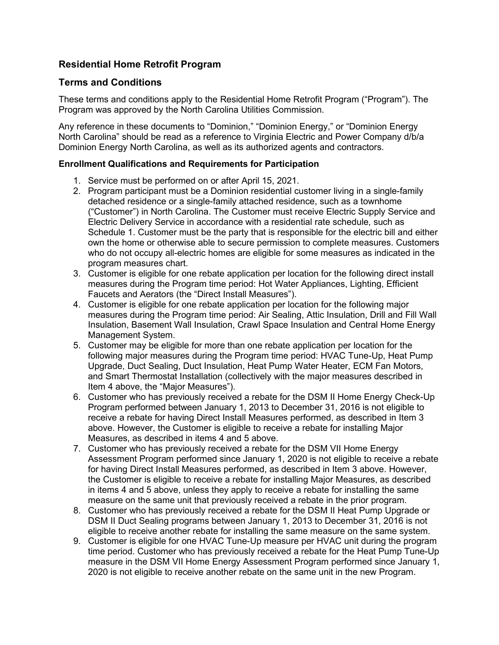# **Residential Home Retrofit Program**

## **Terms and Conditions**

These terms and conditions apply to the Residential Home Retrofit Program ("Program"). The Program was approved by the North Carolina Utilities Commission.

Any reference in these documents to "Dominion," "Dominion Energy," or "Dominion Energy North Carolina" should be read as a reference to Virginia Electric and Power Company d/b/a Dominion Energy North Carolina, as well as its authorized agents and contractors.

## **Enrollment Qualifications and Requirements for Participation**

- 1. Service must be performed on or after April 15, 2021.
- 2. Program participant must be a Dominion residential customer living in a single-family detached residence or a single-family attached residence, such as a townhome ("Customer") in North Carolina. The Customer must receive Electric Supply Service and Electric Delivery Service in accordance with a residential rate schedule, such as Schedule 1. Customer must be the party that is responsible for the electric bill and either own the home or otherwise able to secure permission to complete measures. Customers who do not occupy all-electric homes are eligible for some measures as indicated in the program measures chart.
- 3. Customer is eligible for one rebate application per location for the following direct install measures during the Program time period: Hot Water Appliances, Lighting, Efficient Faucets and Aerators (the "Direct Install Measures").
- 4. Customer is eligible for one rebate application per location for the following major measures during the Program time period: Air Sealing, Attic Insulation, Drill and Fill Wall Insulation, Basement Wall Insulation, Crawl Space Insulation and Central Home Energy Management System.
- 5. Customer may be eligible for more than one rebate application per location for the following major measures during the Program time period: HVAC Tune-Up, Heat Pump Upgrade, Duct Sealing, Duct Insulation, Heat Pump Water Heater, ECM Fan Motors, and Smart Thermostat Installation (collectively with the major measures described in Item 4 above, the "Major Measures").
- 6. Customer who has previously received a rebate for the DSM II Home Energy Check-Up Program performed between January 1, 2013 to December 31, 2016 is not eligible to receive a rebate for having Direct Install Measures performed, as described in Item 3 above. However, the Customer is eligible to receive a rebate for installing Major Measures, as described in items 4 and 5 above.
- 7. Customer who has previously received a rebate for the DSM VII Home Energy Assessment Program performed since January 1, 2020 is not eligible to receive a rebate for having Direct Install Measures performed, as described in Item 3 above. However, the Customer is eligible to receive a rebate for installing Major Measures, as described in items 4 and 5 above, unless they apply to receive a rebate for installing the same measure on the same unit that previously received a rebate in the prior program.
- 8. Customer who has previously received a rebate for the DSM II Heat Pump Upgrade or DSM II Duct Sealing programs between January 1, 2013 to December 31, 2016 is not eligible to receive another rebate for installing the same measure on the same system.
- 9. Customer is eligible for one HVAC Tune-Up measure per HVAC unit during the program time period. Customer who has previously received a rebate for the Heat Pump Tune-Up measure in the DSM VII Home Energy Assessment Program performed since January 1, 2020 is not eligible to receive another rebate on the same unit in the new Program.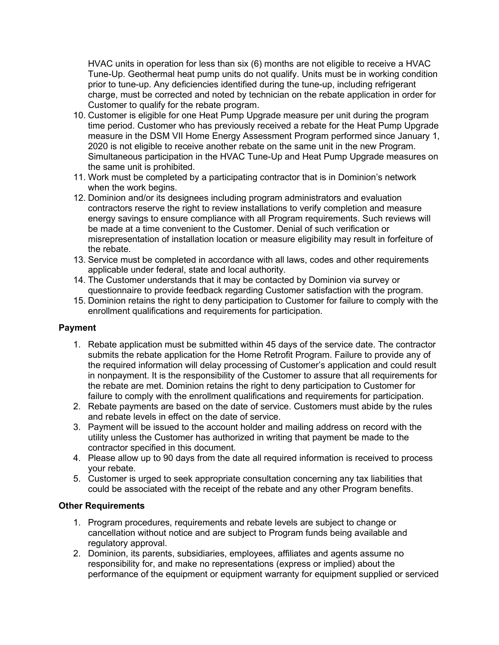HVAC units in operation for less than six (6) months are not eligible to receive a HVAC Tune-Up. Geothermal heat pump units do not qualify. Units must be in working condition prior to tune-up. Any deficiencies identified during the tune-up, including refrigerant charge, must be corrected and noted by technician on the rebate application in order for Customer to qualify for the rebate program.

- 10. Customer is eligible for one Heat Pump Upgrade measure per unit during the program time period. Customer who has previously received a rebate for the Heat Pump Upgrade measure in the DSM VII Home Energy Assessment Program performed since January 1, 2020 is not eligible to receive another rebate on the same unit in the new Program. Simultaneous participation in the HVAC Tune-Up and Heat Pump Upgrade measures on the same unit is prohibited.
- 11. Work must be completed by a participating contractor that is in Dominion's network when the work begins.
- 12. Dominion and/or its designees including program administrators and evaluation contractors reserve the right to review installations to verify completion and measure energy savings to ensure compliance with all Program requirements. Such reviews will be made at a time convenient to the Customer. Denial of such verification or misrepresentation of installation location or measure eligibility may result in forfeiture of the rebate.
- 13. Service must be completed in accordance with all laws, codes and other requirements applicable under federal, state and local authority.
- 14. The Customer understands that it may be contacted by Dominion via survey or questionnaire to provide feedback regarding Customer satisfaction with the program.
- 15. Dominion retains the right to deny participation to Customer for failure to comply with the enrollment qualifications and requirements for participation.

### **Payment**

- 1. Rebate application must be submitted within 45 days of the service date. The contractor submits the rebate application for the Home Retrofit Program. Failure to provide any of the required information will delay processing of Customer's application and could result in nonpayment. It is the responsibility of the Customer to assure that all requirements for the rebate are met. Dominion retains the right to deny participation to Customer for failure to comply with the enrollment qualifications and requirements for participation.
- 2. Rebate payments are based on the date of service. Customers must abide by the rules and rebate levels in effect on the date of service.
- 3. Payment will be issued to the account holder and mailing address on record with the utility unless the Customer has authorized in writing that payment be made to the contractor specified in this document.
- 4. Please allow up to 90 days from the date all required information is received to process your rebate.
- 5. Customer is urged to seek appropriate consultation concerning any tax liabilities that could be associated with the receipt of the rebate and any other Program benefits.

### **Other Requirements**

- 1. Program procedures, requirements and rebate levels are subject to change or cancellation without notice and are subject to Program funds being available and regulatory approval.
- 2. Dominion, its parents, subsidiaries, employees, affiliates and agents assume no responsibility for, and make no representations (express or implied) about the performance of the equipment or equipment warranty for equipment supplied or serviced